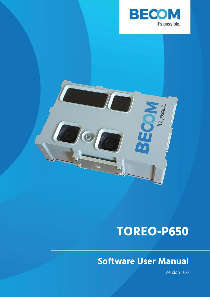



# **TOREO-P650**

## **Software User Manual**

Version 1.0.0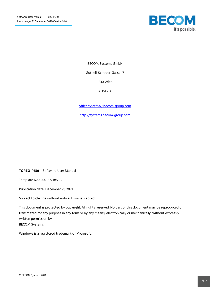

BECOM Systems GmbH

Gutheil-Schoder-Gasse 17

1230 Wien

AUSTRIA

[office.systems@becom-group.com](mailto:office.systems@becom-group.com)

[http://systems.becom-group.com](http://systems.becom-group.com/)

**TOREO-P650** – Software User Manual

Template No.: 900-519 Rev A

Publication date: December 21, 2021

Subject to change without notice. Errors excepted.

This document is protected by copyright. All rights reserved. No part of this document may be reproduced or transmitted for any purpose in any form or by any means, electronically or mechanically, without expressly written permission by BECOM Systems.

Windows is a registered trademark of Microsoft.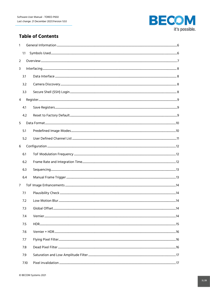

## **Table of Contents**

| 1              |      |  |
|----------------|------|--|
|                | 1.1  |  |
| $\overline{2}$ |      |  |
| 3              |      |  |
|                | 3.1  |  |
|                | 3.2  |  |
|                | 3.3  |  |
| 4              |      |  |
|                | 4.1  |  |
|                | 4.2  |  |
| 5              |      |  |
|                | 5.1  |  |
|                | 5.2  |  |
| 6              |      |  |
|                | 6.1  |  |
|                | 6.2  |  |
|                | 6.3  |  |
|                | 6.4  |  |
| 7              |      |  |
|                | 7.1  |  |
|                |      |  |
|                | 7.3  |  |
|                | 7.4  |  |
|                | 7.5  |  |
|                | 7.6  |  |
|                | 7.7  |  |
|                | 7.8  |  |
|                | 7.9  |  |
|                | 7.10 |  |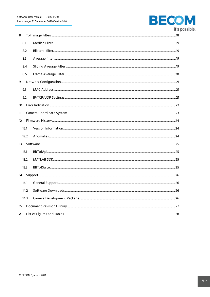

 $10<sup>10</sup>$ 

| 8                 |      |  |  |  |
|-------------------|------|--|--|--|
|                   | 8.1  |  |  |  |
|                   | 8.2  |  |  |  |
|                   | 8.3  |  |  |  |
|                   | 8.4  |  |  |  |
|                   | 8.5  |  |  |  |
| 9                 |      |  |  |  |
|                   | 9.1  |  |  |  |
|                   | 9.2  |  |  |  |
| 10 <sup>°</sup>   |      |  |  |  |
| 11                |      |  |  |  |
| $12 \overline{ }$ |      |  |  |  |
|                   | 12.1 |  |  |  |
|                   | 12.2 |  |  |  |
| 13                |      |  |  |  |
|                   | 13.1 |  |  |  |
|                   | 13.2 |  |  |  |
|                   | 13.3 |  |  |  |
| 14                |      |  |  |  |
|                   | 14.1 |  |  |  |
|                   | 14.2 |  |  |  |
|                   | 14.3 |  |  |  |
| 15                |      |  |  |  |
| A                 |      |  |  |  |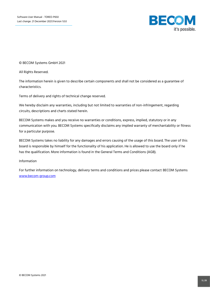

© BECOM Systems GmbH 2021

All Rights Reserved.

The information herein is given to describe certain components and shall not be considered as a guarantee of characteristics.

Terms of delivery and rights of technical change reserved.

We hereby disclaim any warranties, including but not limited to warranties of non-infringement, regarding circuits, descriptions and charts stated herein.

BECOM Systems makes and you receive no warranties or conditions, express, implied, statutory or in any communication with you. BECOM Systems specifically disclaims any implied warranty of merchantability or fitness for a particular purpose.

BECOM Systems takes no liability for any damages and errors causing of the usage of this board. The user of this board is responsible by himself for the functionality of his application. He is allowed to use the board only if he has the qualification. More information is found in the General Terms and Conditions (AGB).

#### Information

For further information on technology, delivery terms and conditions and prices please contact BECOM Systems [www.becom-group.com](http://www.becom-group.com/)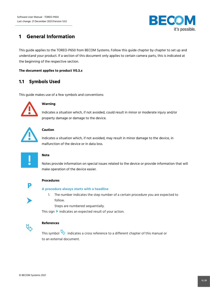

## <span id="page-5-0"></span>**1 General Information**

This guide applies to the TOREO-P650 from BECOM Systems. Follow this guide chapter by chapter to set up and understand your product. If a section of this document only applies to certain camera parts, this is indicated at the beginning of the respective section.

#### **The document applies to product V0.3.x**

#### <span id="page-5-1"></span>**1.1 Symbols Used**

This guide makes use of a few symbols and conventions:



#### **Warning**

Indicates a situation which, if not avoided, could result in minor or moderate injury and/or property damage or damage to the device.



#### **Caution**

Indicates a situation which, if not avoided, may result in minor damage to the device, in malfunction of the device or in data loss.



#### **Note**

Notes provide information on special issues related to the device or provide information that will make operation of the device easier.



#### **Procedures**

#### **A procedure always starts with a headline**

- 1. The number indicates the step number of a certain procedure you are expected to follow.
	- Steps are numbered sequentially.

This sign  $\triangleright$  indicates an expected result of your action.



#### **References**

This symbol  $\overline{\mathbb{Q}}$  indicates a cross reference to a different chapter of this manual or to an external document.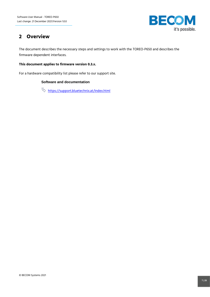

## <span id="page-6-0"></span>**2 Overview**

The document describes the necessary steps and settings to work with the TOREO-P650 and describes the firmware dependent interfaces.

#### **This document applies to firmware version 0.3.x.**

For a hardware compatibility list please refer to our support site.

#### **Software and documentation**

 $\updownarrow$  https://support.bluetechnix.at/index.html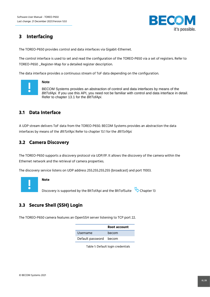

## <span id="page-7-0"></span>**3 Interfacing**

The TOREO-P650 provides control and data interfaces via Gigabit-Ethernet.

The control interface is used to set and read the configuration of the TOREO-P650 via a set of registers. Refer to TOREO-P650 \_Register-Map for a detailed register description.

The data interface provides a continuous stream of ToF data depending on the configuration.



#### **Note**

BECOM Systems provides an abstraction of control and data interfaces by means of the *BltTofApi*. If you use this API, you need not be familiar with control and data interface in detail. Refer to chapter [13.1](#page-24-1) for the *BltTofApi*.

#### <span id="page-7-1"></span>**3.1 Data Interface**

A UDP stream delivers ToF data from the TOREO-P650. BECOM Systems provides an abstraction the data interfaces by means of the BltTofApi. Refer to chapter [13.1](#page-24-1) for the BltTofApi.

## <span id="page-7-2"></span>**3.2 Camera Discovery**

The TOREO-P650 supports a discovery protocol via UDP/IP. It allows the discovery of the camera within the Ethernet network and the retrieval of camera properties.

The discovery service listens on UDP address 255.255.255.255 (broadcast) and port 11003.



#### **Note**

Discovery is supported by the BltTofApi and the BltTofSuite  $\mathbb{Q}$  Chapter [13](#page-24-0)

## <span id="page-7-3"></span>**3.3 Secure Shell (SSH) Login**

<span id="page-7-4"></span>The TOREO-P650 camera features an OpenSSH server listening to TCP port 22.

|                        | Root account |
|------------------------|--------------|
| Username               | becom        |
| Default password becom |              |

Table 1: Default login credentials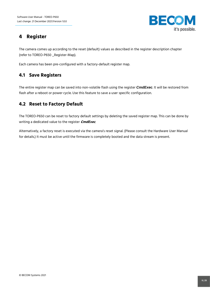

## <span id="page-8-0"></span>**4 Register**

The camera comes up according to the reset (default) values as described in the register description chapter (refer to TOREO-P650 \_Register-Map).

Each camera has been pre-configured with a factory-default register map.

## <span id="page-8-1"></span>**4.1 Save Registers**

The entire register map can be saved into non-volatile flash using the register *CmdExec*. It will be restored from flash after a reboot or power cycle. Use this feature to save a user specific configuration.

## <span id="page-8-2"></span>**4.2 Reset to Factory Default**

The TOREO-P650 can be reset to factory default settings by deleting the saved register map. This can be done by writing a dedicated value to the register **CmdExec**.

Alternatively, a factory reset is executed via the camera's reset signal. (Please consult the Hardware User Manual for details.) It must be active until the firmware is completely booted and the data stream is present.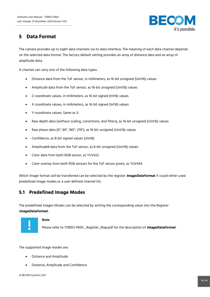

## <span id="page-9-0"></span>**5 Data Format**

The camera provides up to eight data channels via its data interface. The meaning of each data channel depends on the selected data format. The factory default setting provides an array of distance data and an array of amplitude data.

A channel can carry one of the following data types:

- Distance data from the ToF sensor, in millimeters, as 16-bit unsigned (Uint16) values
- Amplitude data from the ToF sensor, as 16-bit unsigned (Uint16) values
- Z coordinate values, in millimeters, as 16-bit signed (Int16) values
- X coordinate values, in millimeters, as 16-bit signed (Int16) values
- Y coordinate values: Same as X.
- Raw depth data (without scaling, corrections, and filters), as 16-bit unsigned (Uint16) values
- Raw phase data (0°, 90°, 180°, 270°), as 16-bit unsigned (Uint16) values
- Confidence, as 8-bit signed values (Uint8)
- Amplitude8 data from the ToF sensor, as 8-bit unsigned (Uint16) values
- Color data from both RGB sensor, as YUV422
- Color overlay from both RGB sensors for the ToF sensor pixels, as YUV444

Which image format will be transferred can be selected by the register **ImageDataFormat**. It could either used predefined image modes or a user defined channel list.

#### <span id="page-9-1"></span>**5.1 Predefined Image Modes**

The predefined Images Modes can be selected by writing the corresponding value into the Register **ImageDataFormat.**



#### **Note**

Please refer to TOREO-P650 \_Register\_Map.pdf for the description of **ImageDataFormat.**

The supported Image modes are:

- Distance and Amplitude
- Distance, Amplitude and Confidence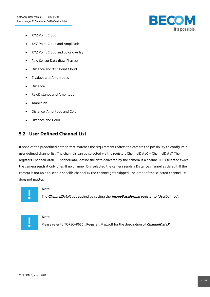

- XYZ Point Cloud
- XYZ Point Cloud and Amplitude
- XYZ Point Cloud and color overlay
- Raw Sensor Data (Raw Phases)
- Distance and XYZ Point Cloud
- Z values and Amplitudes
- Distance
- RawDistance and Amplitude
- Amplitude
- Distance, Amplitude and Color
- Distance and Color

#### <span id="page-10-0"></span>**5.2 User Defined Channel List**

If none of the predefined data format matches the requirements offers the camera the possibility to configure a user defined channel list. The channels can be selected via the registers ChannelData0 – ChannelData7. The registers ChannelData0 – ChannelData7 define the data delivered by the camera. If a channel ID is selected twice the camera sends it only ones. If no channel ID is selected the camera sends a Distance channel as default. If the camera is not able to send a specific channel ID the channel gets skipped. The order of the selected channel IDs does not matter.



#### **Note**

The **ChannelDataX** get applied by setting the **ImageDataFormat** register to "UserDefined".



#### **Note**

Please refer to TOREO-P650 \_Register\_Map.pdf for the description of **ChannelDataX.**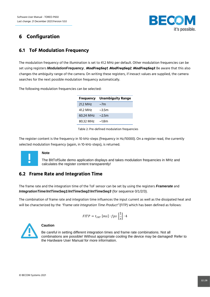

## <span id="page-11-0"></span>**6 Configuration**

## <span id="page-11-1"></span>**6.1 ToF Modulation Frequency**

The modulation frequency of the illumination is set to 41.2 MHz per default. Other modulation frequencies can be set using registers *ModulationFrequency*, **ModFreqSeq1**, **ModFreqSeq2**, **ModFreqSeq3**. Be aware that this also changes the ambiguity range of the camera. On writing these registers, if inexact values are supplied, the camera searches for the next possible modulation frequency automatically.

The following modulation frequencies can be selected:

| <b>Unambiguity Range</b> |
|--------------------------|
| $\sim$ 7m                |
| $\sim$ 35m               |
| $\sim$ 2.5m              |
| ~1.8 <sub>m</sub>        |
|                          |

Table 2: Pre-defined modulation frequencies

<span id="page-11-3"></span>The register content is the frequency in 10-kHz-steps (frequency in Hz/10000). On a register read, the currently selected modulation frequency (again, in 10-kHz-steps), is returned.



#### **Note**

The BltTofSuite demo application displays and takes modulation frequencies in MHz and calculates the register content transparently!

#### <span id="page-11-2"></span>**6.2 Frame Rate and Integration Time**

The frame rate and the integration time of the ToF sensor can be set by using the registers *Framerate* and *IntegrationTime*/*IntTimeSeq1*/*IntTimeSeq2*/*IntTimeSeq3* (for sequence 0/1/2/3).

The combination of frame rate and integration time influences the input current as well as the dissipated heat and will be characterized by the "Frame rate Integration Time Product" (FITP) which has been defined as follows:

$$
FITP = t_{INT} [ms] \cdot fps \left[\frac{1}{s}\right] \cdot 4
$$



#### **Caution**

Be careful in setting different integration times and frame rate combinations. Not all combinations are possible! Without appropriate cooling the device may be damaged! Refer to the Hardware User Manual for more information.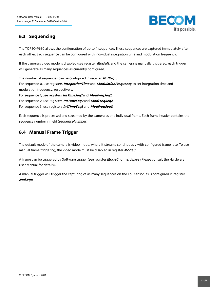

## <span id="page-12-0"></span>**6.3 Sequencing**

The TOREO-P650 allows the configuration of up to 4 sequences. These sequences are captured immediately after each other. Each sequence can be configured with individual integration time and modulation frequency.

If the camera's video mode is disabled (see register **Mode0**), and the camera is manually triggered, each trigger will generate as many sequences as currently configured.

The number of sequences can be configured in register **NofSequ**. For sequence 0, use registers **IntegrationTime** and **ModulationFrequency** to set integration time and modulation frequency, respectively. For sequence 1, use registers **IntTimeSeq1** and **ModFreqSeq1**. For sequence 2, use registers **IntTimeSeq2** and **ModFreqSeq2**. For sequence 3, use registers **IntTimeSeq3** and **ModFreqSeq3**.

Each sequence is processed and streamed by the camera as one individual frame. Each frame header contains the sequence number in field *SequenceNumber*.

## <span id="page-12-1"></span>**6.4 Manual Frame Trigger**

The default mode of the camera is video mode, where it streams continuously with configured frame rate. To use manual frame triggering, the video mode must be disabled in register *Mode0*.

A frame can be triggered by Software trigger (see register *Mode0*) or hardware (Please consult the Hardware User Manual for details)**.**

A manual trigger will trigger the capturing of as many sequences on the ToF sensor, as is configured in register **NofSequ**.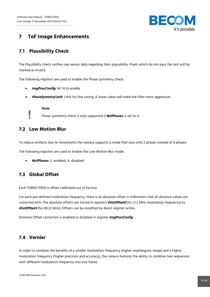

## <span id="page-13-0"></span>**7 ToF Image Enhancements**

## <span id="page-13-1"></span>**7.1 Plausibility Check**

The Plausibility check verifies raw sensor data regarding their plausibility. Pixels which do not pass the test will be marked as invalid.

The following registers are used to enable the Phase symmetry check:

- **ImgProcConfig:** bit 14 to enable
- **PhaseSymetryLimit**: Limit for fine tuning. A lower value will make the filter more aggressive.

**Note** Phase symmetry check is only supported if **NofPhases** is set to 4.

#### <span id="page-13-2"></span>**7.2 Low Motion Blur**

To reduce artifacts due to movements the camera supports a mode that uses only 2 phases instead of 4 phases.

The following registers are used to enable the Low Motion Blur mode:

• **NofPhases**: 2.. enabled, 4.. disabled

#### <span id="page-13-3"></span>**7.3 Global Offset**

Each TOREO-P650 is offset-calibrated out of factory.

For each pre-defined modulation frequency, there is an absolute offset in millimeters that all distance values are corrected with. The absolute offsets are stored in registers **DistOffset0** (for 21.2 MHz modulation frequency) to **DistOffset3** (for 80.32 MHz). Offsets can be modified by direct register writes.

Distance Offset correction is enabled or disabled in register **ImgProcConfig**.

#### <span id="page-13-4"></span>**7.4 Vernier**

In order to combine the benefits of a smaller modulation frequency (higher unambiguity range) and a higher modulation frequency (higher precision and accuracy), the camera features the ability to combine two sequences with different modulation frequency into one frame.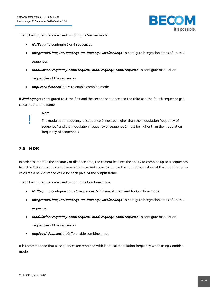

The following registers are used to configure Vernier mode:

- **NofSequ**: To configure 2 or 4 sequences.
- **IntegrationTime**, **IntTimeSeq1**, **IntTimeSeq2**, **IntTimeSeq3**: To configure integration times of up to 4

sequences

• **ModulationFrequency**, **ModFreqSeq1**, **ModFreqSeq2**, **ModFreqSeq3**: To configure modulation

frequencies of the sequences

**• ImgProcAdvanced**, bit 7: To enable combine mode

If **NofSequ** gets configured to 4, the first and the second sequence and the third and the fourth sequence get calculated to one frame.

#### **Note**

The modulation frequency of sequence 0 must be higher than the modulation frequency of sequence 1 and the modulation frequency of sequence 2 must be higher than the modulation frequency of sequence 3

#### <span id="page-14-0"></span>**7.5 HDR**

In order to improve the accuracy of distance data, the camera features the ability to combine up to 4 sequences from the ToF sensor into one frame with improved accuracy. It uses the confidence values of the input frames to calculate a new distance value for each pixel of the output frame.

The following registers are used to configure Combine mode:

- **NofSequ**: To configure up to 4 sequences. Minimum of 2 required for Combine mode.
- **IntegrationTime**, **IntTimeSeq1**, **IntTimeSeq2**, **IntTimeSeq3**: To configure integration times of up to 4 sequences
- **ModulationFrequency**, **ModFreqSeq1**, **ModFreqSeq2**, **ModFreqSeq3**: To configure modulation frequencies of the sequences
- **ImaProcAdvanced**, bit 0: To enable combine mode

It is recommended that all sequences are recorded with identical modulation frequency when using Combine mode.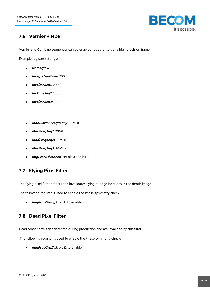

## <span id="page-15-0"></span>**7.6 Vernier + HDR**

Vernier and Combine sequences can be enabled together to get a high precision frame.

Example register settings:

- **NofSequ**: 4.
- **IntegrationTime**: 200
- **IntTimeSeq1:** 200
- **IntTimeSeq2:** 1000
- **IntTimeSeq3:** 1000
- **ModulationFrequency:** 80MHz
- **ModFreqSeq1:** 20MHz
- **ModFreqSeq2:** 80MHz
- **ModFreqSeq3:** 20MHz
- **ImgProcAdvanced**, set bit 0 and bit 7

## <span id="page-15-1"></span>**7.7 Flying Pixel Filter**

The flying pixel filter detects and invalidates flying at edge locations in the depth image.

The following register is used to enable the Phase symmetry check:

• **ImgProcConfig3**: bit 13 to enable

#### <span id="page-15-2"></span>**7.8 Dead Pixel Filter**

Dead sensor pixels get detected during production and are invalided by this filter.

The following register is used to enable the Phase symmetry check:

• **ImgProcConfig3**: bit 12 to enable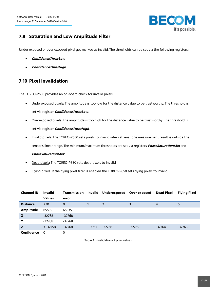

## <span id="page-16-0"></span>**7.9 Saturation and Low Amplitude Filter**

Under exposed or over exposed pixel get marked as invalid. The thresholds can be set via the following registers:

- **ConfidenceThresLow**
- **ConfidenceThresHigh**

## <span id="page-16-1"></span>**7.10 Pixel invalidation**

The TOREO-P650 provides an on-board check for invalid pixels:

- Underexposed pixels: The amplitude is too low for the distance value to be trustworthy. The threshold is set via register **ConfidenceThresLow**.
- Overexposed pixels: The amplitude is too high for the distance value to be trustworthy. The threshold is set via register **ConfidenceThresHigh**.
- Invalid pixels: The TOREO-P650 sets pixels to invalid when at least one measurement result is outside the sensor's linear range. The minimum/maximum thresholds are set via registers **PhaseSaturationMin** and

#### **PhaseSaturationMax**.

- Dead pixels: The TOREO-P650 sets dead pixels to invalid.
- Flying pixels: If the flying pixel filter is enabled the TOREO-P650 sets flying pixels to invalid.

<span id="page-16-2"></span>

| <b>Channel ID</b> | <b>Invalid</b> | <b>Transmission</b> | Invalid  | <b>Underexposed</b> | Over exposed | <b>Dead Pixel</b> | <b>Flying Pixel</b> |
|-------------------|----------------|---------------------|----------|---------------------|--------------|-------------------|---------------------|
|                   | <b>Values</b>  | error               |          |                     |              |                   |                     |
| <b>Distance</b>   | < 10           | 0                   |          | 2                   | 3            | $\overline{4}$    | 5                   |
| <b>Amplitude</b>  | 65535          | 65535               |          |                     |              |                   |                     |
| $\mathbf x$       | $-32768$       | $-32768$            |          |                     |              |                   |                     |
| Υ                 | -32768         | -32768              |          |                     |              |                   |                     |
| Z                 | $< -32758$     | $-32768$            | $-32767$ | $-32766$            | $-32765$     | $-32764$          | $-32763$            |
| Confidence        | - 0            | 0                   |          |                     |              |                   |                     |

Table 3: Invalidation of pixel values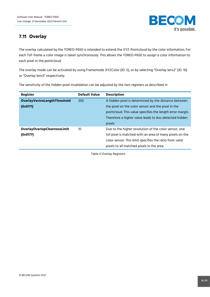

## <span id="page-17-0"></span>**7.11 Overlay**

The overlay calculated by the TOREO-P650 is intended to extend the XYZ-Pointcloud by the color information. For each ToF-frame a color image is taken synchronously. This allows the TOREO-P650 to assign a color information to each pixel in the pointcloud.

The overlay mode can be activated by using Framemode XYZColor (ID: 5), or by selecting "Overlay lens2" (ID: 10) or "Overlay lens3" respectively.

The sensitivity of the hidden pixel invalidation can be adjusted by the two registers as described in

<span id="page-17-1"></span>

| <b>Register</b>                     | <b>Default Value</b> | <b>Description</b>                                        |
|-------------------------------------|----------------------|-----------------------------------------------------------|
| OverlayVectroLengthThreshold        | 200                  | A hidden pixel is determined by the distance between      |
| (0x0171)                            |                      | the pixel on the color sensor and the pixel in the        |
|                                     |                      | pointcloud. This value specifies the length error margin. |
|                                     |                      | Therefore a higher value leads to less detected hidden    |
|                                     |                      | pixels                                                    |
| <b>OverlayOverlapClearnessLimit</b> | 10                   | Due to the higher resolution of the color sensor, one     |
| (0x0177)                            |                      | tof pixel is matched with an area of many pixels on the   |
|                                     |                      | color sensor. This limit specifies the ratio from valid   |
|                                     |                      | pixels to all matched pixels in the area.                 |

Table 4 Overlay Registers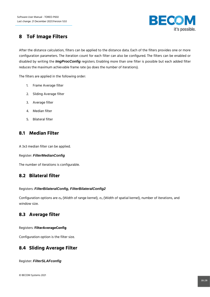

## **8 ToF Image Filters**

After the distance calculation, filters can be applied to the distance data. Each of the filters provides one or more configuration parameters. The iteration count for each filter can also be configured. The filters can be enabled or disabled by writing the *ImgProcConfig* registers. Enabling more than one filter is possible but each added filter reduces the maximum achievable frame rate (as does the number of iterations).

The filters are applied in the following order:

- 1. Frame Average filter
- 2. Sliding Average filter
- 3. Average filter
- 4. Median filter
- 5. Bilateral filter

#### <span id="page-18-0"></span>**8.1 Median Filter**

A 3x3 median filter can be applied.

#### Register: *FilterMedianConfig*

The number of iterations is configurable.

#### <span id="page-18-1"></span>**8.2 Bilateral filter**

#### Registers: *FilterBilateralConfig, FilterBilateralConfig2*

Configuration options are  $\sigma_R$  (Width of range kernel),  $\sigma_S$  (Width of spatial kernel), number of iterations, and window size.

#### <span id="page-18-2"></span>**8.3 Average filter**

Registers: **FilterAverageConfig**

Configuration option is the filter size.

#### <span id="page-18-3"></span>**8.4 Sliding Average Filter**

Register: *FilterSLAFconfig*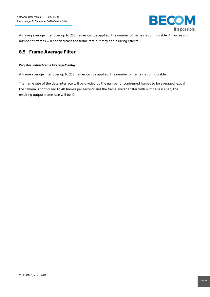

A sliding average filter over up to 255 frames can be applied. The number of frames is configurable. An increasing number of frames will not decrease the frame rate but may add blurring effects.

#### <span id="page-19-0"></span>**8.5 Frame Average Filter**

#### Register: **FilterFrameAverageConfig**

A frame average filter over up to 255 frames can be applied. The number of frames is configurable.

The frame rate of the data interface will be divided by the number of configured frames to be averaged, e.g., if the camera is configured to 40 frames per second, and the frame average filter with number 4 is used, the resulting output frame rate will be 10.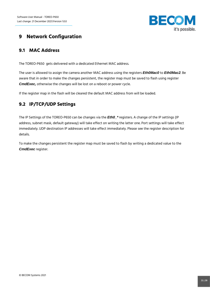

## <span id="page-20-0"></span>**9 Network Configuration**

#### <span id="page-20-1"></span>**9.1 MAC Address**

The TOREO-P650 gets delivered with a dedicated Ethernet MAC address.

The user is allowed to assign the camera another MAC address using the registers *Eth0Mac0* to *Eth0Mac2*. Be aware that in order to make the changes persistent, the register map must be saved to flash using register *CmdExec,* otherwise the changes will be lost on a reboot or power cycle.

If the register map in the flash will be cleared the default MAC address from will be loaded.

## <span id="page-20-2"></span>**9.2 IP/TCP/UDP Settings**

The IP Settings of the TOREO-P650 can be changes via the *Eth0\_\** registers. A change of the IP settings (IP address, subnet mask, default gateway) will take effect on writing the latter one. Port settings will take effect immediately. UDP destination IP addresses will take effect immediately. Please see the register description for details.

To make the changes persistent the register map must be saved to flash by writing a dedicated value to the *CmdExec* register.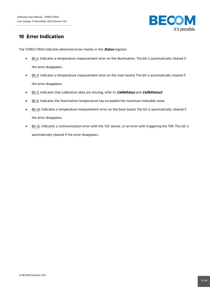

## <span id="page-21-0"></span>**10 Error Indication**

The TOREO-P650 indicates detected errors mainly in the **Status** register:

- Bit 3: Indicates a temperature measurement error on the illumination. The bit is automatically cleared if the error disappears.
- Bit 4: Indicates a temperature measurement error on the main board. The bit is automatically cleared if the error disappears.
- Bit 5: Indicates that calibration data are missing, refer to **CalibStatus** and **CalibStatus2**.
- Bit 9: Indicates the illumination temperature has exceeded the maximum tolerable value
- Bit 14: Indicates a temperature measurement error on the base board. The bit is automatically cleared if the error disappears.
- Bit 15: Indicates a communication error with the ToF sensor, or an error with triggering the TIM. This bit is automatically cleared if the error disappears.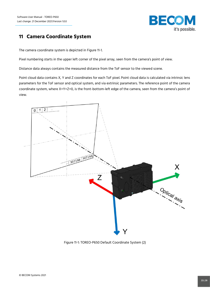

## <span id="page-22-0"></span>**11 Camera Coordinate System**

The camera coordinate system is depicted in [Figure 11-1.](#page-22-1)

Pixel numbering starts in the upper left corner of the pixel array, seen from the camera's point of view.

Distance data always contains the measured distance from the ToF sensor to the viewed scene.

Point cloud data contains X, Y and Z coordinates for each ToF pixel. Point cloud data is calculated via intrinsic lens parameters for the ToF sensor and optical system, and via extrinsic parameters. The reference point of the camera coordinate system, where X=Y=Z=0, is the front-bottom-left edge of the camera, seen from the camera's point of view.



<span id="page-22-1"></span>Figure 11-1: TOREO-P650 Default Coordinate System (2)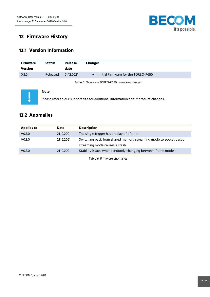

## <span id="page-23-0"></span>**12 Firmware History**

## <span id="page-23-1"></span>**12.1 Version Information**

**Note**

| <b>Firmware</b> | <b>Status</b> | <b>Release</b> | <b>Changes</b>                      |
|-----------------|---------------|----------------|-------------------------------------|
| Version         |               | date           |                                     |
| 0.3.0           | Released      | 21.12.2021     | Initial Firmware for the TOREO-P650 |

Table 5: Overview TOREO-P650 firmware changes

<span id="page-23-3"></span>

Please refer to our support site for additional information about product changes.

## <span id="page-23-2"></span>**12.2 Anomalies**

<span id="page-23-4"></span>

| <b>Applies to</b>  | <b>Date</b> | <b>Description</b>                                               |
|--------------------|-------------|------------------------------------------------------------------|
| V <sub>0.3.0</sub> | 2112.2021   | The single trigger has a delay of 1 frame                        |
| V <sub>0.3.0</sub> | 2112.2021   | Switching back from shared memory streaming mode to socket based |
|                    |             | streaming mode causes a crash                                    |
| V <sub>0.3.0</sub> | 21.12.2021  | Stability issues when randomly changing between frame modes      |
|                    |             |                                                                  |

Table 6: Firmware anomalies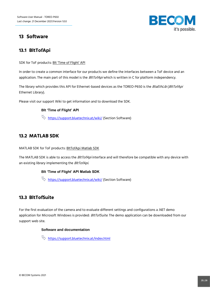

## <span id="page-24-0"></span>**13 Software**

#### <span id="page-24-1"></span>**13.1 BltTofApi**

SDK for ToF products: Blt ['Time of Flight' API](https://support.bluetechnix.at/wiki/Bluetechnix_%27Time_of_Flight%27_API)

In order to create a common interface for our products we define the interfaces between a ToF device and an application. The main part of this model is the *BltTofApi* which is written in C for platform independency.

The library which provides this API for Ethernet-based devices as the TOREO-P650 is the BtaEthLib (BltTofApi Ethernet Library).

Please visit our support Wiki to get information and to download the SDK.

#### **Blt 'Time of Flight' API**

<https://support.bluetechnix.at/wiki/> (Section Software)

## <span id="page-24-2"></span>**13.2 MATLAB SDK**

MATLAB SDK for ToF products[: BltTofApi Matlab SDK](https://support.bluetechnix.at/wiki/BltTofApi_Matlab_SDK)

The MATLAB SDK is able to access the BltTofApi interface and will therefore be compatible with any device with an existing library implementing the BltTofApi.

#### **Blt 'Time of Flight' API Matlab SDK**

 $\stackrel{\text{(i)}}{\bigtriangledown}$  <https://support.bluetechnix.at/wiki/> (Section Software)

#### <span id="page-24-3"></span>**13.3 BltTofSuite**

For the first evaluation of the camera and to evaluate different settings and configurations a .NET demo application for Microsoft Windows is provided: BltTofSuite. The demo application can be downloaded from our support web site.

#### **Software and documentation**

that https://support.bluetechnix.at/index.html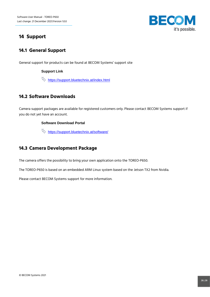

## <span id="page-25-0"></span>**14 Support**

#### <span id="page-25-1"></span>**14.1 General Support**

General support for products can be found at BECOM Systems' support site

#### **Support Link**

 $\updownarrow$  <https://support.bluetechnix.at/index.html>

#### <span id="page-25-2"></span>**14.2 Software Downloads**

Camera support packages are available for registered customers only. Please contact BECOM Systems support if you do not yet have an account.

#### **Software Download Portal**

 $\updownarrow$  https://support.bluetechnix.at/software/

## <span id="page-25-3"></span>**14.3 Camera Development Package**

The camera offers the possibility to bring your own application onto the TOREO-P650.

The TOREO-P650 is based on an embedded ARM Linux system based on the Jetson TX2 from Nvidia.

Please contact BECOM Systems support for more information.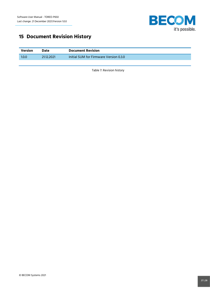

## <span id="page-26-0"></span>**15 Document Revision History**

<span id="page-26-1"></span>

| Version | Date       | <b>Document Revision</b>               |
|---------|------------|----------------------------------------|
| 1.0.0   | 21.12.2021 | Initial SUM for Firmware Version 0.3.0 |

Table 7: Revision history